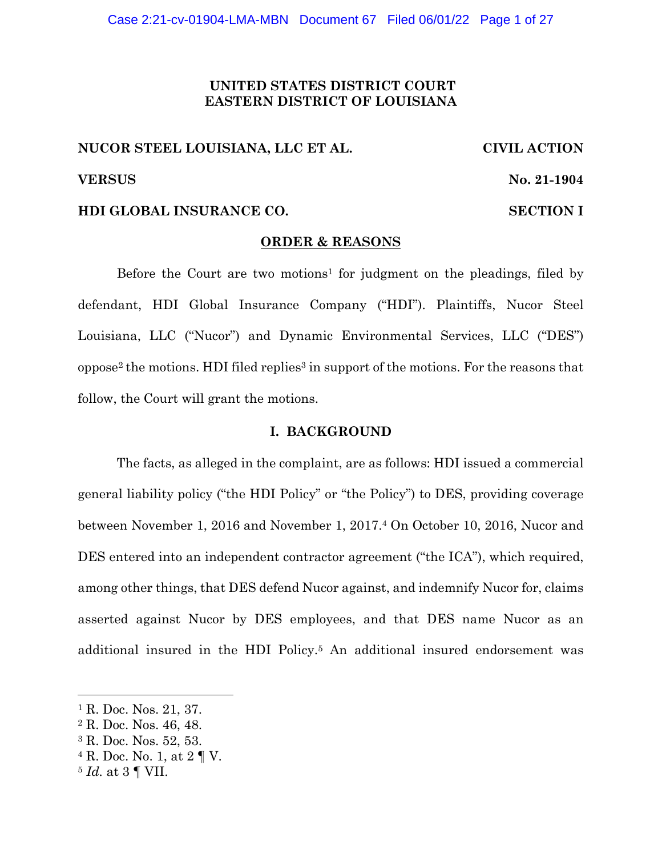# **UNITED STATES DISTRICT COURT EASTERN DISTRICT OF LOUISIANA**

# **NUCOR STEEL LOUISIANA, LLC ET AL. CIVIL ACTION VERSUS No. 21-1904**

# **HDI GLOBAL INSURANCE CO. SECTION I**

#### **ORDER & REASONS**

Before the Court are two motions<sup>1</sup> for judgment on the pleadings, filed by defendant, HDI Global Insurance Company ("HDI"). Plaintiffs, Nucor Steel Louisiana, LLC ("Nucor") and Dynamic Environmental Services, LLC ("DES") oppose2 the motions. HDI filed replies3 in support of the motions. For the reasons that follow, the Court will grant the motions.

#### **I. BACKGROUND**

The facts, as alleged in the complaint, are as follows: HDI issued a commercial general liability policy ("the HDI Policy" or "the Policy") to DES, providing coverage between November 1, 2016 and November 1, 2017.4 On October 10, 2016, Nucor and DES entered into an independent contractor agreement ("the ICA"), which required, among other things, that DES defend Nucor against, and indemnify Nucor for, claims asserted against Nucor by DES employees, and that DES name Nucor as an additional insured in the HDI Policy.5 An additional insured endorsement was

<sup>&</sup>lt;sup>1</sup> R. Doc. Nos. 21, 37.

<sup>2</sup> R. Doc. Nos. 46, 48.

<sup>3</sup> R. Doc. Nos. 52, 53.

 $4$  R. Doc. No. 1, at  $2 \text{ } \P$  V.

<sup>5</sup> *Id.* at 3 ¶ VII.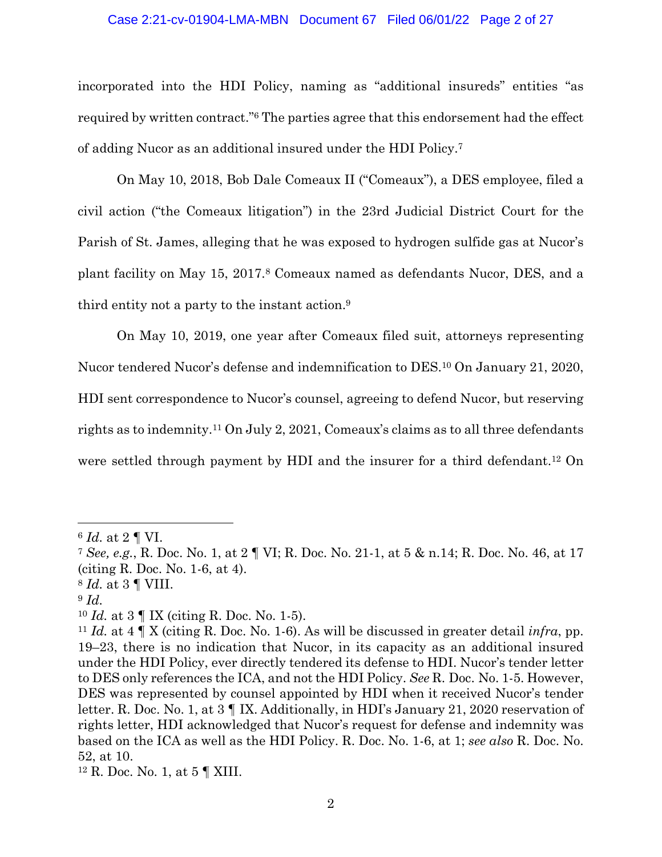#### Case 2:21-cv-01904-LMA-MBN Document 67 Filed 06/01/22 Page 2 of 27

incorporated into the HDI Policy, naming as "additional insureds" entities "as required by written contract."6 The parties agree that this endorsement had the effect of adding Nucor as an additional insured under the HDI Policy.7

On May 10, 2018, Bob Dale Comeaux II ("Comeaux"), a DES employee, filed a civil action ("the Comeaux litigation") in the 23rd Judicial District Court for the Parish of St. James, alleging that he was exposed to hydrogen sulfide gas at Nucor's plant facility on May 15, 2017.8 Comeaux named as defendants Nucor, DES, and a third entity not a party to the instant action.9

On May 10, 2019, one year after Comeaux filed suit, attorneys representing Nucor tendered Nucor's defense and indemnification to DES.10 On January 21, 2020, HDI sent correspondence to Nucor's counsel, agreeing to defend Nucor, but reserving rights as to indemnity.11 On July 2, 2021, Comeaux's claims as to all three defendants were settled through payment by HDI and the insurer for a third defendant.12 On

<sup>6</sup> *Id.* at 2 ¶ VI.

<sup>7</sup> *See, e.g.*, R. Doc. No. 1, at 2 ¶ VI; R. Doc. No. 21-1, at 5 & n.14; R. Doc. No. 46, at 17 (citing R. Doc. No. 1-6, at 4).

<sup>8</sup> *Id.* at 3 ¶ VIII.

<sup>9</sup> *Id.*

<sup>10</sup> *Id.* at 3 ¶ IX (citing R. Doc. No. 1-5).

<sup>11</sup> *Id.* at 4 ¶ X (citing R. Doc. No. 1-6). As will be discussed in greater detail *infra*, pp. 19–23, there is no indication that Nucor, in its capacity as an additional insured under the HDI Policy, ever directly tendered its defense to HDI. Nucor's tender letter to DES only references the ICA, and not the HDI Policy. *See* R. Doc. No. 1-5. However, DES was represented by counsel appointed by HDI when it received Nucor's tender letter. R. Doc. No. 1, at 3 ¶ IX. Additionally, in HDI's January 21, 2020 reservation of rights letter, HDI acknowledged that Nucor's request for defense and indemnity was based on the ICA as well as the HDI Policy. R. Doc. No. 1-6, at 1; *see also* R. Doc. No. 52, at 10.

<sup>12</sup> R. Doc. No. 1, at 5 ¶ XIII.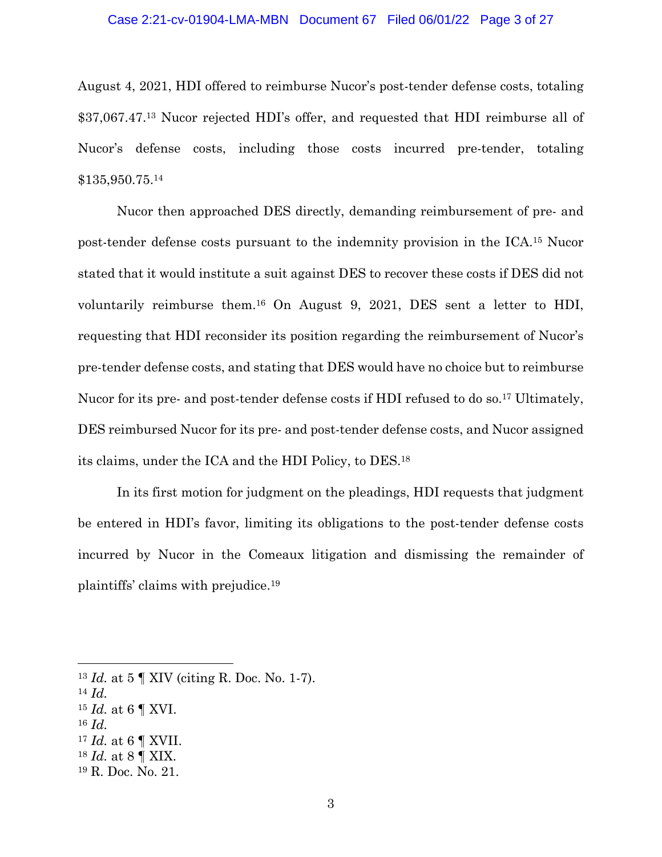#### Case 2:21-cv-01904-LMA-MBN Document 67 Filed 06/01/22 Page 3 of 27

August 4, 2021, HDI offered to reimburse Nucor's post-tender defense costs, totaling \$37,067.47.13 Nucor rejected HDI's offer, and requested that HDI reimburse all of Nucor's defense costs, including those costs incurred pre-tender, totaling \$135,950.75.14

Nucor then approached DES directly, demanding reimbursement of pre- and post-tender defense costs pursuant to the indemnity provision in the ICA.15 Nucor stated that it would institute a suit against DES to recover these costs if DES did not voluntarily reimburse them.16 On August 9, 2021, DES sent a letter to HDI, requesting that HDI reconsider its position regarding the reimbursement of Nucor's pre-tender defense costs, and stating that DES would have no choice but to reimburse Nucor for its pre- and post-tender defense costs if HDI refused to do so.<sup>17</sup> Ultimately, DES reimbursed Nucor for its pre- and post-tender defense costs, and Nucor assigned its claims, under the ICA and the HDI Policy, to DES.18

In its first motion for judgment on the pleadings, HDI requests that judgment be entered in HDI's favor, limiting its obligations to the post-tender defense costs incurred by Nucor in the Comeaux litigation and dismissing the remainder of plaintiffs' claims with prejudice.19

<sup>16</sup> *Id.*

<sup>13</sup> *Id.* at 5 ¶ XIV (citing R. Doc. No. 1-7).

<sup>14</sup> *Id.*

<sup>15</sup> *Id.* at 6 ¶ XVI.

 $^{17}$   $Id.$  at 6  $\P$  XVII.

<sup>18</sup> *Id.* at 8 ¶ XIX.

<sup>19</sup> R. Doc. No. 21.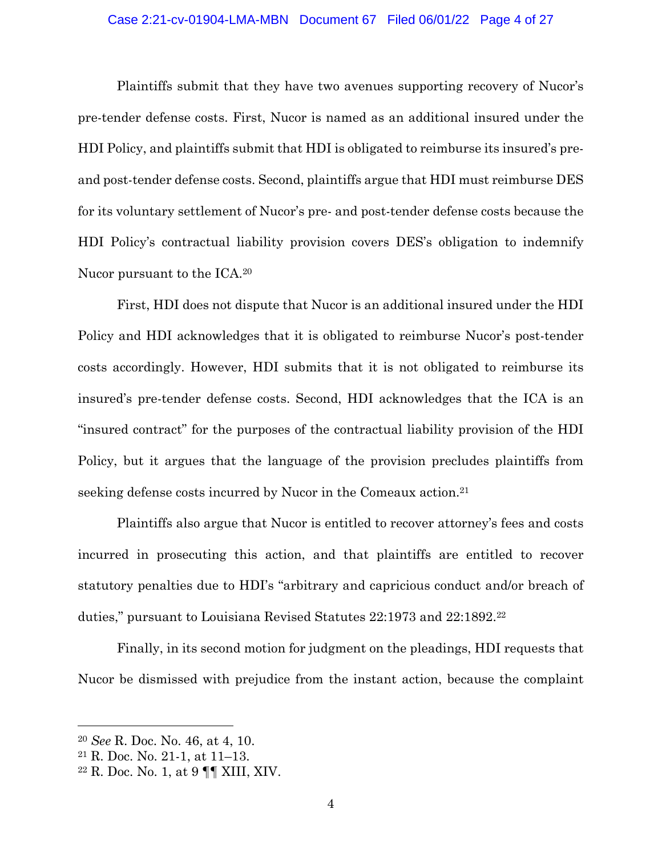#### Case 2:21-cv-01904-LMA-MBN Document 67 Filed 06/01/22 Page 4 of 27

Plaintiffs submit that they have two avenues supporting recovery of Nucor's pre-tender defense costs. First, Nucor is named as an additional insured under the HDI Policy, and plaintiffs submit that HDI is obligated to reimburse its insured's preand post-tender defense costs. Second, plaintiffs argue that HDI must reimburse DES for its voluntary settlement of Nucor's pre- and post-tender defense costs because the HDI Policy's contractual liability provision covers DES's obligation to indemnify Nucor pursuant to the ICA.20

First, HDI does not dispute that Nucor is an additional insured under the HDI Policy and HDI acknowledges that it is obligated to reimburse Nucor's post-tender costs accordingly. However, HDI submits that it is not obligated to reimburse its insured's pre-tender defense costs. Second, HDI acknowledges that the ICA is an "insured contract" for the purposes of the contractual liability provision of the HDI Policy, but it argues that the language of the provision precludes plaintiffs from seeking defense costs incurred by Nucor in the Comeaux action.<sup>21</sup>

Plaintiffs also argue that Nucor is entitled to recover attorney's fees and costs incurred in prosecuting this action, and that plaintiffs are entitled to recover statutory penalties due to HDI's "arbitrary and capricious conduct and/or breach of duties," pursuant to Louisiana Revised Statutes 22:1973 and 22:1892.22

Finally, in its second motion for judgment on the pleadings, HDI requests that Nucor be dismissed with prejudice from the instant action, because the complaint

<sup>20</sup> *See* R. Doc. No. 46, at 4, 10.

<sup>21</sup> R. Doc. No. 21-1, at 11–13.

<sup>22</sup> R. Doc. No. 1, at 9 ¶¶ XIII, XIV.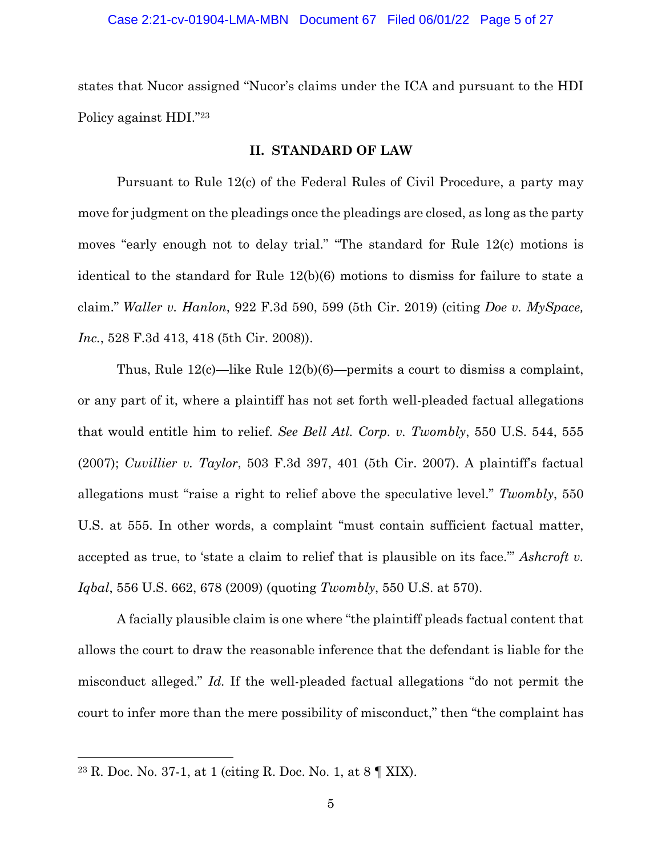#### Case 2:21-cv-01904-LMA-MBN Document 67 Filed 06/01/22 Page 5 of 27

states that Nucor assigned "Nucor's claims under the ICA and pursuant to the HDI Policy against HDI."23

## **II. STANDARD OF LAW**

Pursuant to Rule 12(c) of the Federal Rules of Civil Procedure, a party may move for judgment on the pleadings once the pleadings are closed, as long as the party moves "early enough not to delay trial." "The standard for Rule 12(c) motions is identical to the standard for Rule 12(b)(6) motions to dismiss for failure to state a claim." *Waller v. Hanlon*, 922 F.3d 590, 599 (5th Cir. 2019) (citing *Doe v. MySpace, Inc.*, 528 F.3d 413, 418 (5th Cir. 2008)).

Thus, Rule 12(c)—like Rule 12(b)(6)—permits a court to dismiss a complaint, or any part of it, where a plaintiff has not set forth well-pleaded factual allegations that would entitle him to relief. *See Bell Atl. Corp. v. Twombly*, 550 U.S. 544, 555 (2007); *Cuvillier v. Taylor*, 503 F.3d 397, 401 (5th Cir. 2007). A plaintiff's factual allegations must "raise a right to relief above the speculative level." *Twombly*, 550 U.S. at 555. In other words, a complaint "must contain sufficient factual matter, accepted as true, to 'state a claim to relief that is plausible on its face.'" *Ashcroft v. Iqbal*, 556 U.S. 662, 678 (2009) (quoting *Twombly*, 550 U.S. at 570).

A facially plausible claim is one where "the plaintiff pleads factual content that allows the court to draw the reasonable inference that the defendant is liable for the misconduct alleged." *Id.* If the well-pleaded factual allegations "do not permit the court to infer more than the mere possibility of misconduct," then "the complaint has

<sup>23</sup> R. Doc. No. 37-1, at 1 (citing R. Doc. No. 1, at 8 ¶ XIX).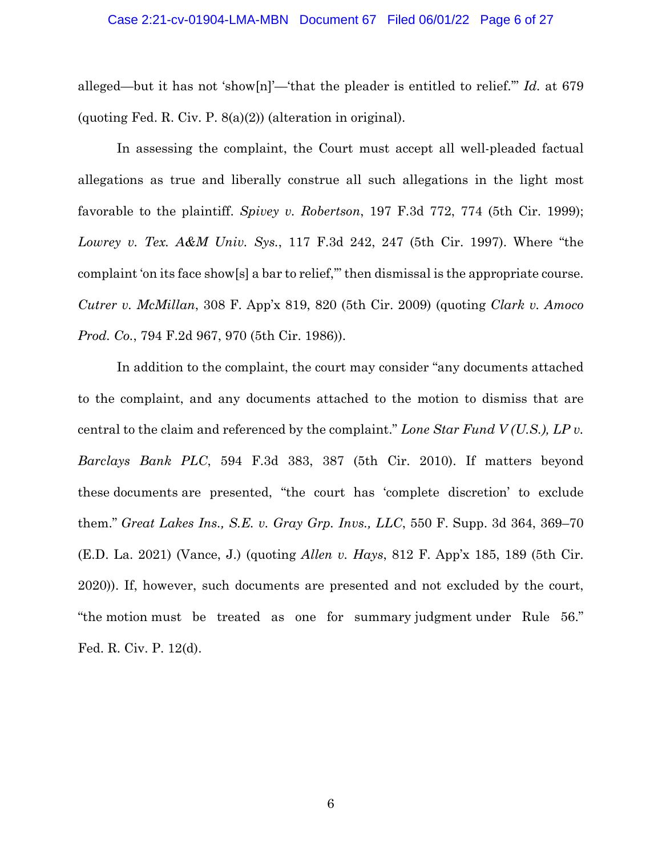#### Case 2:21-cv-01904-LMA-MBN Document 67 Filed 06/01/22 Page 6 of 27

alleged—but it has not 'show[n]'—'that the pleader is entitled to relief.'" *Id.* at 679 (quoting Fed. R. Civ. P. 8(a)(2)) (alteration in original).

In assessing the complaint, the Court must accept all well-pleaded factual allegations as true and liberally construe all such allegations in the light most favorable to the plaintiff. *Spivey v. Robertson*, 197 F.3d 772, 774 (5th Cir. 1999); *Lowrey v. Tex. A&M Univ. Sys.*, 117 F.3d 242, 247 (5th Cir. 1997). Where "the complaint 'on its face show[s] a bar to relief,'" then dismissal is the appropriate course. *Cutrer v. McMillan*, 308 F. App'x 819, 820 (5th Cir. 2009) (quoting *Clark v. Amoco Prod. Co.*, 794 F.2d 967, 970 (5th Cir. 1986)).

In addition to the complaint, the court may consider "any documents attached to the complaint, and any documents attached to the motion to dismiss that are central to the claim and referenced by the complaint." *Lone Star Fund V (U.S.), LP v. Barclays Bank PLC*, 594 F.3d 383, 387 (5th Cir. 2010). If matters beyond these documents are presented, "the court has 'complete discretion' to exclude them." *Great Lakes Ins., S.E. v. Gray Grp. Invs., LLC*, 550 F. Supp. 3d 364, 369–70 (E.D. La. 2021) (Vance, J.) (quoting *Allen v. Hays*, 812 F. App'x 185, 189 (5th Cir. 2020)). If, however, such documents are presented and not excluded by the court, "the motion must be treated as one for summary judgment under Rule 56." Fed. R. Civ. P. 12(d).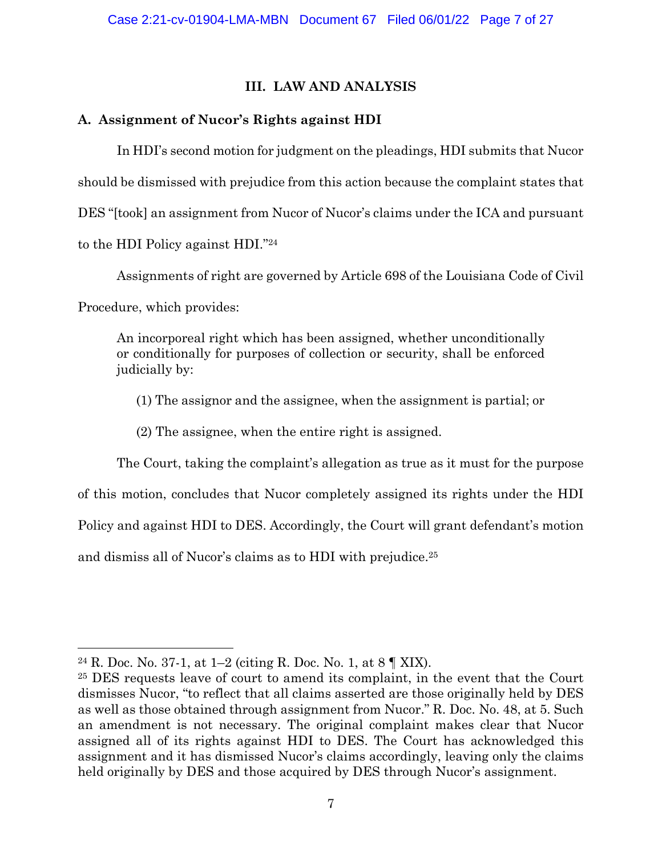# **III. LAW AND ANALYSIS**

# **A. Assignment of Nucor's Rights against HDI**

In HDI's second motion for judgment on the pleadings, HDI submits that Nucor should be dismissed with prejudice from this action because the complaint states that DES "[took] an assignment from Nucor of Nucor's claims under the ICA and pursuant to the HDI Policy against HDI."24

Assignments of right are governed by Article 698 of the Louisiana Code of Civil

Procedure, which provides:

An incorporeal right which has been assigned, whether unconditionally or conditionally for purposes of collection or security, shall be enforced judicially by:

(1) The assignor and the assignee, when the assignment is partial; or

(2) The assignee, when the entire right is assigned.

The Court, taking the complaint's allegation as true as it must for the purpose

of this motion, concludes that Nucor completely assigned its rights under the HDI

Policy and against HDI to DES. Accordingly, the Court will grant defendant's motion

and dismiss all of Nucor's claims as to HDI with prejudice.25

<sup>&</sup>lt;sup>24</sup> R. Doc. No. 37-1, at 1–2 (citing R. Doc. No. 1, at  $8 \text{ T}$  XIX).

<sup>25</sup> DES requests leave of court to amend its complaint, in the event that the Court dismisses Nucor, "to reflect that all claims asserted are those originally held by DES as well as those obtained through assignment from Nucor." R. Doc. No. 48, at 5. Such an amendment is not necessary. The original complaint makes clear that Nucor assigned all of its rights against HDI to DES. The Court has acknowledged this assignment and it has dismissed Nucor's claims accordingly, leaving only the claims held originally by DES and those acquired by DES through Nucor's assignment.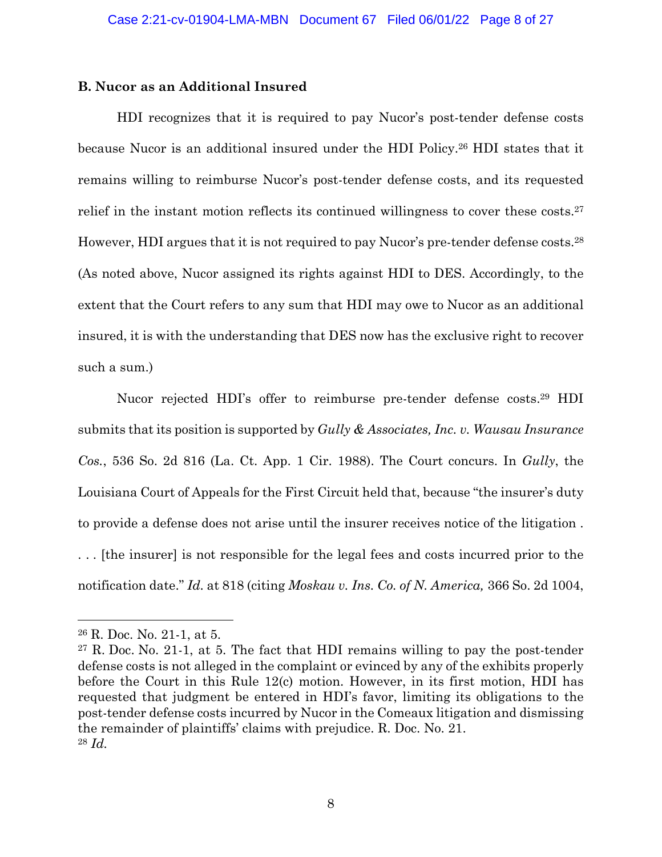# **B. Nucor as an Additional Insured**

HDI recognizes that it is required to pay Nucor's post-tender defense costs because Nucor is an additional insured under the HDI Policy.26 HDI states that it remains willing to reimburse Nucor's post-tender defense costs, and its requested relief in the instant motion reflects its continued willingness to cover these costs.27 However, HDI argues that it is not required to pay Nucor's pre-tender defense costs.28 (As noted above, Nucor assigned its rights against HDI to DES. Accordingly, to the extent that the Court refers to any sum that HDI may owe to Nucor as an additional insured, it is with the understanding that DES now has the exclusive right to recover such a sum.)

Nucor rejected HDI's offer to reimburse pre-tender defense costs.<sup>29</sup> HDI submits that its position is supported by *Gully & Associates, Inc. v. Wausau Insurance Cos.*, 536 So. 2d 816 (La. Ct. App. 1 Cir. 1988). The Court concurs. In *Gully*, the Louisiana Court of Appeals for the First Circuit held that, because "the insurer's duty to provide a defense does not arise until the insurer receives notice of the litigation . . . . [the insurer] is not responsible for the legal fees and costs incurred prior to the notification date." *Id.* at 818 (citing *Moskau v. Ins. Co. of N. America,* 366 So. 2d 1004,

<sup>26</sup> R. Doc. No. 21-1, at 5.

<sup>27</sup> R. Doc. No. 21-1, at 5. The fact that HDI remains willing to pay the post-tender defense costs is not alleged in the complaint or evinced by any of the exhibits properly before the Court in this Rule 12(c) motion. However, in its first motion, HDI has requested that judgment be entered in HDI's favor, limiting its obligations to the post-tender defense costs incurred by Nucor in the Comeaux litigation and dismissing the remainder of plaintiffs' claims with prejudice. R. Doc. No. 21. <sup>28</sup> *Id.*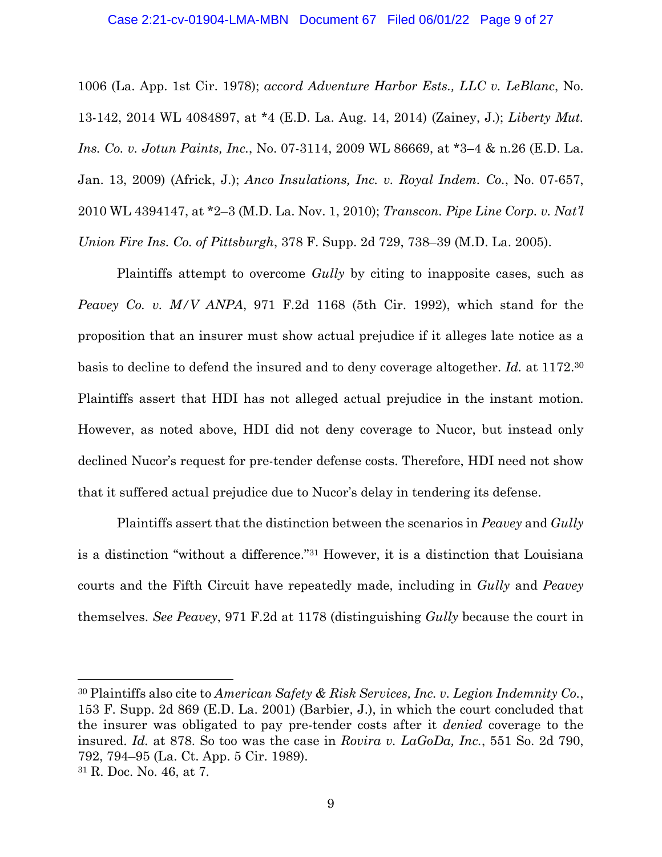#### Case 2:21-cv-01904-LMA-MBN Document 67 Filed 06/01/22 Page 9 of 27

1006 (La. App. 1st Cir. 1978); *accord Adventure Harbor Ests., LLC v. LeBlanc*, No. 13-142, 2014 WL 4084897, at \*4 (E.D. La. Aug. 14, 2014) (Zainey, J.); *Liberty Mut. Ins. Co. v. Jotun Paints, Inc.*, No. 07-3114, 2009 WL 86669, at \*3–4 & n.26 (E.D. La. Jan. 13, 2009) (Africk, J.); *Anco Insulations, Inc. v. Royal Indem. Co.*, No. 07-657, 2010 WL 4394147, at \*2–3 (M.D. La. Nov. 1, 2010); *Transcon. Pipe Line Corp. v. Nat'l Union Fire Ins. Co. of Pittsburgh*, 378 F. Supp. 2d 729, 738–39 (M.D. La. 2005).

Plaintiffs attempt to overcome *Gully* by citing to inapposite cases, such as *Peavey Co. v. M/V ANPA*, 971 F.2d 1168 (5th Cir. 1992), which stand for the proposition that an insurer must show actual prejudice if it alleges late notice as a basis to decline to defend the insured and to deny coverage altogether. *Id.* at 1172.30 Plaintiffs assert that HDI has not alleged actual prejudice in the instant motion. However, as noted above, HDI did not deny coverage to Nucor, but instead only declined Nucor's request for pre-tender defense costs. Therefore, HDI need not show that it suffered actual prejudice due to Nucor's delay in tendering its defense.

Plaintiffs assert that the distinction between the scenarios in *Peavey* and *Gully* is a distinction "without a difference."31 However, it is a distinction that Louisiana courts and the Fifth Circuit have repeatedly made, including in *Gully* and *Peavey* themselves. *See Peavey*, 971 F.2d at 1178 (distinguishing *Gully* because the court in

<sup>30</sup> Plaintiffs also cite to *American Safety & Risk Services, Inc. v. Legion Indemnity Co.*, 153 F. Supp. 2d 869 (E.D. La. 2001) (Barbier, J.), in which the court concluded that the insurer was obligated to pay pre-tender costs after it *denied* coverage to the insured. *Id.* at 878. So too was the case in *Rovira v. LaGoDa, Inc.*, 551 So. 2d 790, 792, 794–95 (La. Ct. App. 5 Cir. 1989). <sup>31</sup> R. Doc. No. 46, at 7.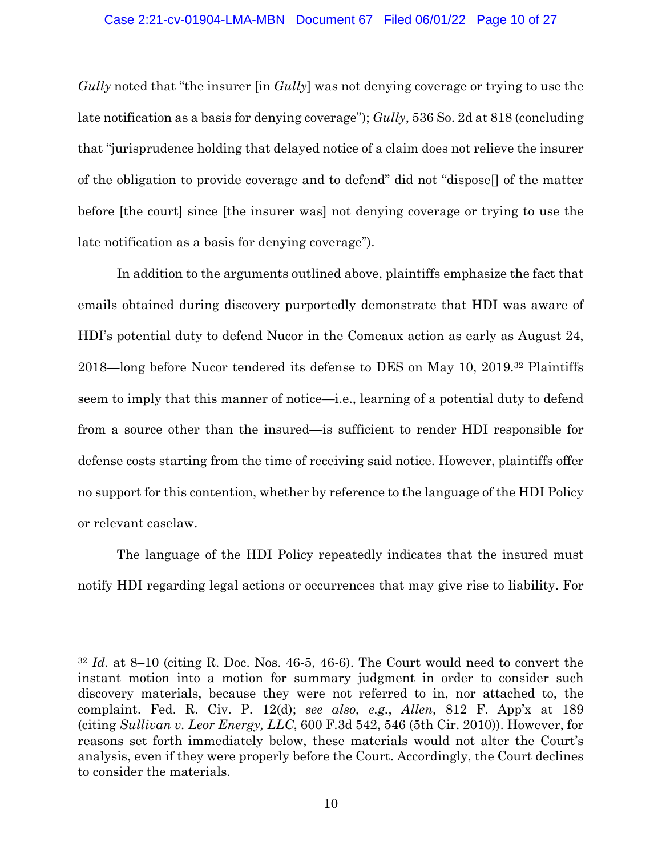*Gully* noted that "the insurer [in *Gully*] was not denying coverage or trying to use the late notification as a basis for denying coverage"); *Gully*, 536 So. 2d at 818 (concluding that "jurisprudence holding that delayed notice of a claim does not relieve the insurer of the obligation to provide coverage and to defend" did not "dispose[] of the matter before [the court] since [the insurer was] not denying coverage or trying to use the late notification as a basis for denying coverage").

In addition to the arguments outlined above, plaintiffs emphasize the fact that emails obtained during discovery purportedly demonstrate that HDI was aware of HDI's potential duty to defend Nucor in the Comeaux action as early as August 24, 2018—long before Nucor tendered its defense to DES on May 10, 2019.32 Plaintiffs seem to imply that this manner of notice—i.e., learning of a potential duty to defend from a source other than the insured—is sufficient to render HDI responsible for defense costs starting from the time of receiving said notice. However, plaintiffs offer no support for this contention, whether by reference to the language of the HDI Policy or relevant caselaw.

The language of the HDI Policy repeatedly indicates that the insured must notify HDI regarding legal actions or occurrences that may give rise to liability. For

<sup>32</sup> *Id.* at 8–10 (citing R. Doc. Nos. 46-5, 46-6). The Court would need to convert the instant motion into a motion for summary judgment in order to consider such discovery materials, because they were not referred to in, nor attached to, the complaint. Fed. R. Civ. P. 12(d); *see also, e.g.*, *Allen*, 812 F. App'x at 189 (citing *Sullivan v. Leor Energy, LLC*, 600 F.3d 542, 546 (5th Cir. 2010)). However, for reasons set forth immediately below, these materials would not alter the Court's analysis, even if they were properly before the Court. Accordingly, the Court declines to consider the materials.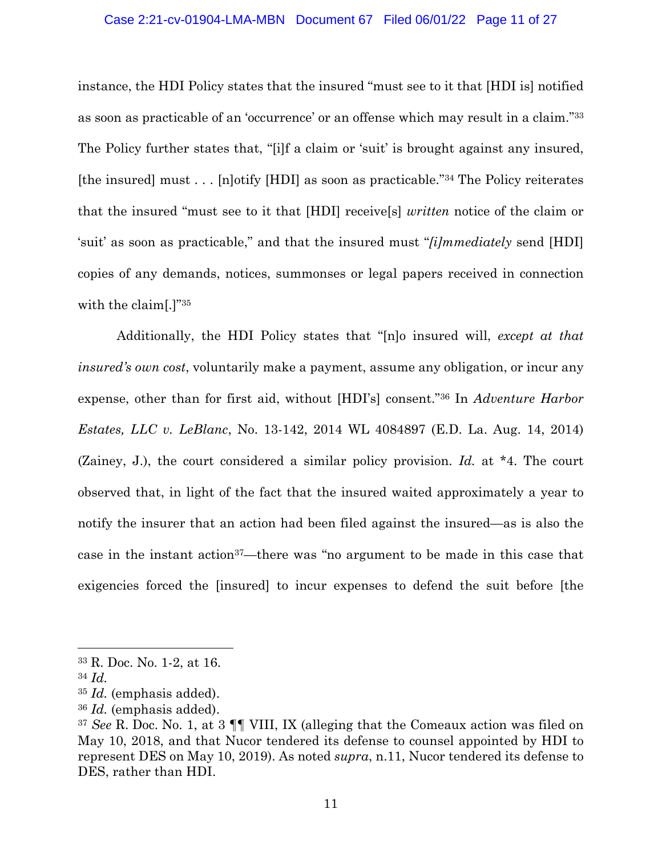#### Case 2:21-cv-01904-LMA-MBN Document 67 Filed 06/01/22 Page 11 of 27

instance, the HDI Policy states that the insured "must see to it that [HDI is] notified as soon as practicable of an 'occurrence' or an offense which may result in a claim."33 The Policy further states that, "[i]f a claim or 'suit' is brought against any insured, [the insured] must . . . [n]otify [HDI] as soon as practicable."34 The Policy reiterates that the insured "must see to it that [HDI] receive[s] *written* notice of the claim or 'suit' as soon as practicable," and that the insured must "*[i]mmediately* send [HDI] copies of any demands, notices, summonses or legal papers received in connection with the claim[.]"<sup>35</sup>

Additionally, the HDI Policy states that "[n]o insured will, *except at that insured's own cost*, voluntarily make a payment, assume any obligation, or incur any expense, other than for first aid, without [HDI's] consent."36 In *Adventure Harbor Estates, LLC v. LeBlanc*, No. 13-142, 2014 WL 4084897 (E.D. La. Aug. 14, 2014) (Zainey, J.), the court considered a similar policy provision. *Id.* at \*4. The court observed that, in light of the fact that the insured waited approximately a year to notify the insurer that an action had been filed against the insured—as is also the case in the instant action37—there was "no argument to be made in this case that exigencies forced the [insured] to incur expenses to defend the suit before [the

<sup>33</sup> R. Doc. No. 1-2, at 16.

<sup>34</sup> *Id.*

<sup>35</sup> *Id.* (emphasis added).

<sup>36</sup> *Id.* (emphasis added).

<sup>37</sup> *See* R. Doc. No. 1, at 3 ¶¶ VIII, IX (alleging that the Comeaux action was filed on May 10, 2018, and that Nucor tendered its defense to counsel appointed by HDI to represent DES on May 10, 2019). As noted *supra*, n.11, Nucor tendered its defense to DES, rather than HDI.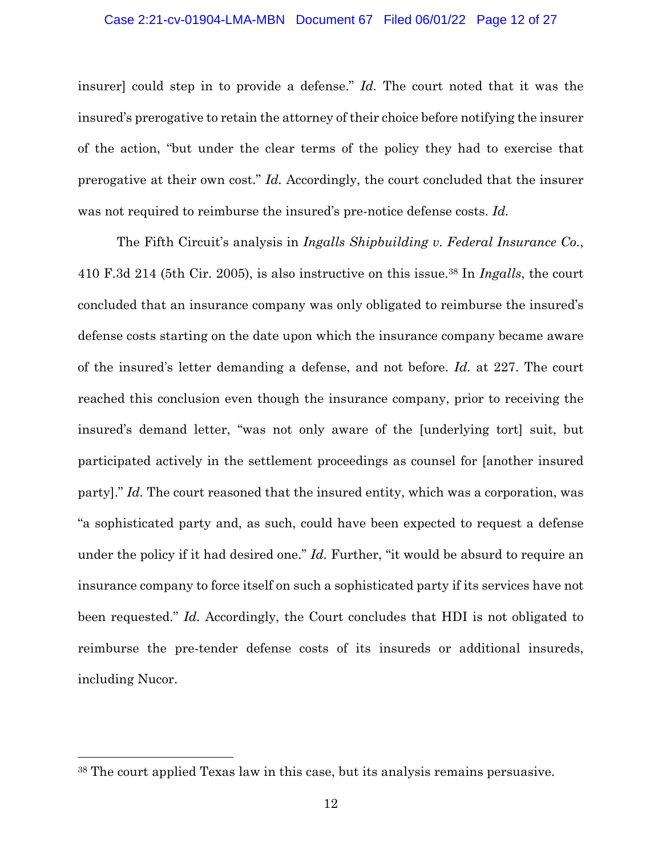#### Case 2:21-cv-01904-LMA-MBN Document 67 Filed 06/01/22 Page 12 of 27

insurer] could step in to provide a defense." *Id.* The court noted that it was the insured's prerogative to retain the attorney of their choice before notifying the insurer of the action, "but under the clear terms of the policy they had to exercise that prerogative at their own cost." *Id.* Accordingly, the court concluded that the insurer was not required to reimburse the insured's pre-notice defense costs. *Id.*

The Fifth Circuit's analysis in *Ingalls Shipbuilding v. Federal Insurance Co.*, 410 F.3d 214 (5th Cir. 2005), is also instructive on this issue.38 In *Ingalls*, the court concluded that an insurance company was only obligated to reimburse the insured's defense costs starting on the date upon which the insurance company became aware of the insured's letter demanding a defense, and not before. *Id.* at 227. The court reached this conclusion even though the insurance company, prior to receiving the insured's demand letter, "was not only aware of the [underlying tort] suit, but participated actively in the settlement proceedings as counsel for [another insured party]." *Id.* The court reasoned that the insured entity, which was a corporation, was "a sophisticated party and, as such, could have been expected to request a defense under the policy if it had desired one." *Id.* Further, "it would be absurd to require an insurance company to force itself on such a sophisticated party if its services have not been requested." *Id.* Accordingly, the Court concludes that HDI is not obligated to reimburse the pre-tender defense costs of its insureds or additional insureds, including Nucor.

<sup>38</sup> The court applied Texas law in this case, but its analysis remains persuasive.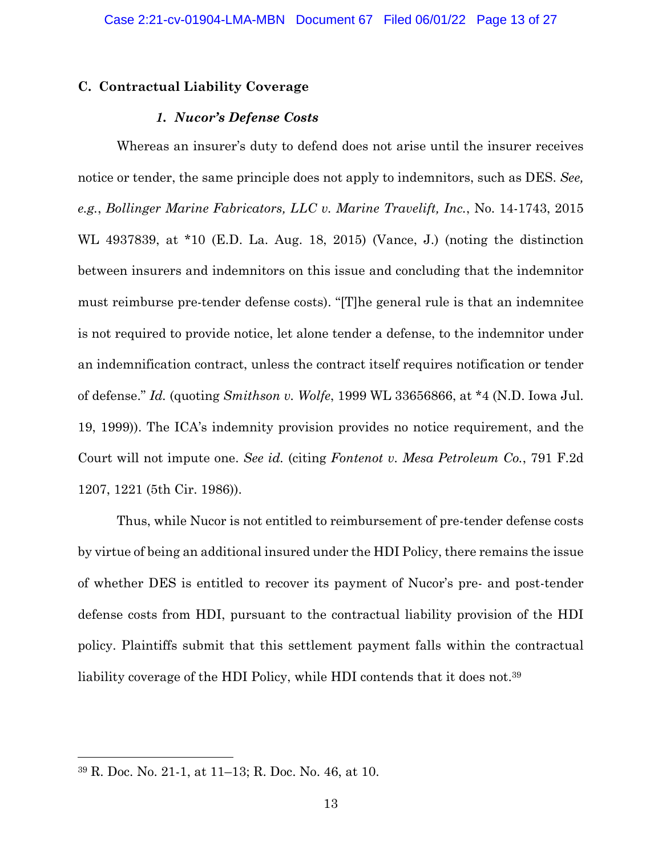# **C. Contractual Liability Coverage**

## *1. Nucor's Defense Costs*

Whereas an insurer's duty to defend does not arise until the insurer receives notice or tender, the same principle does not apply to indemnitors, such as DES. *See, e.g.*, *Bollinger Marine Fabricators, LLC v. Marine Travelift, Inc.*, No. 14-1743, 2015 WL 4937839, at \*10 (E.D. La. Aug. 18, 2015) (Vance, J.) (noting the distinction between insurers and indemnitors on this issue and concluding that the indemnitor must reimburse pre-tender defense costs). "[T]he general rule is that an indemnitee is not required to provide notice, let alone tender a defense, to the indemnitor under an indemnification contract, unless the contract itself requires notification or tender of defense." *Id.* (quoting *Smithson v. Wolfe*, 1999 WL 33656866, at \*4 (N.D. Iowa Jul. 19, 1999)). The ICA's indemnity provision provides no notice requirement, and the Court will not impute one. *See id.* (citing *Fontenot v. Mesa Petroleum Co.*, 791 F.2d 1207, 1221 (5th Cir. 1986)).

Thus, while Nucor is not entitled to reimbursement of pre-tender defense costs by virtue of being an additional insured under the HDI Policy, there remains the issue of whether DES is entitled to recover its payment of Nucor's pre- and post-tender defense costs from HDI, pursuant to the contractual liability provision of the HDI policy. Plaintiffs submit that this settlement payment falls within the contractual liability coverage of the HDI Policy, while HDI contends that it does not.<sup>39</sup>

<sup>39</sup> R. Doc. No. 21-1, at 11–13; R. Doc. No. 46, at 10.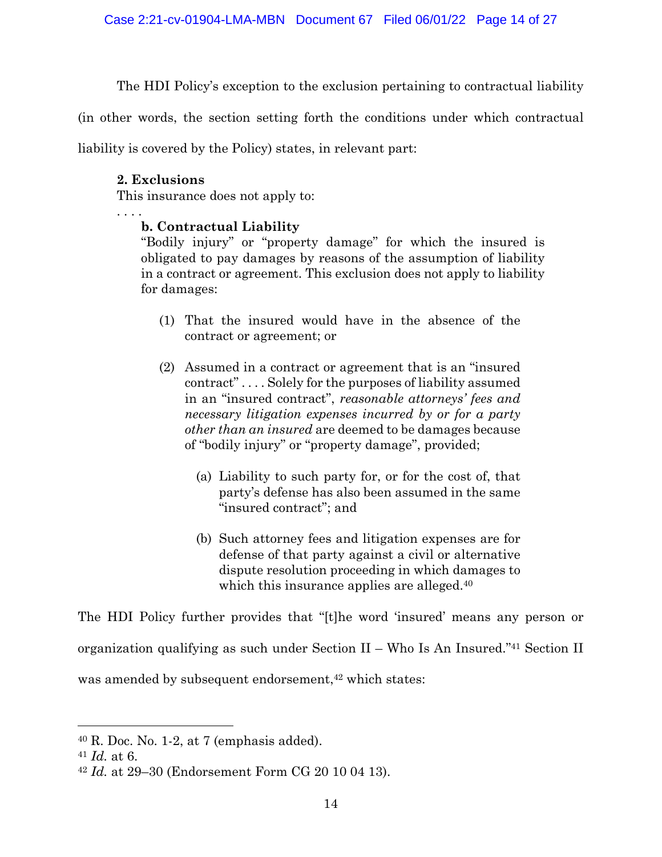The HDI Policy's exception to the exclusion pertaining to contractual liability

(in other words, the section setting forth the conditions under which contractual

liability is covered by the Policy) states, in relevant part:

# **2. Exclusions**

This insurance does not apply to:

. . . .

# **b. Contractual Liability**

"Bodily injury" or "property damage" for which the insured is obligated to pay damages by reasons of the assumption of liability in a contract or agreement. This exclusion does not apply to liability for damages:

- (1) That the insured would have in the absence of the contract or agreement; or
- (2) Assumed in a contract or agreement that is an "insured contract" . . . . Solely for the purposes of liability assumed in an "insured contract", *reasonable attorneys' fees and necessary litigation expenses incurred by or for a party other than an insured* are deemed to be damages because of "bodily injury" or "property damage", provided;
	- (a) Liability to such party for, or for the cost of, that party's defense has also been assumed in the same "insured contract"; and
	- (b) Such attorney fees and litigation expenses are for defense of that party against a civil or alternative dispute resolution proceeding in which damages to which this insurance applies are alleged.<sup>40</sup>

The HDI Policy further provides that "[t]he word 'insured' means any person or organization qualifying as such under Section II – Who Is An Insured."41 Section II was amended by subsequent endorsement,<sup>42</sup> which states:

 $40$  R. Doc. No. 1-2, at 7 (emphasis added).

<sup>41</sup> *Id.* at 6.

<sup>42</sup> *Id.* at 29–30 (Endorsement Form CG 20 10 04 13).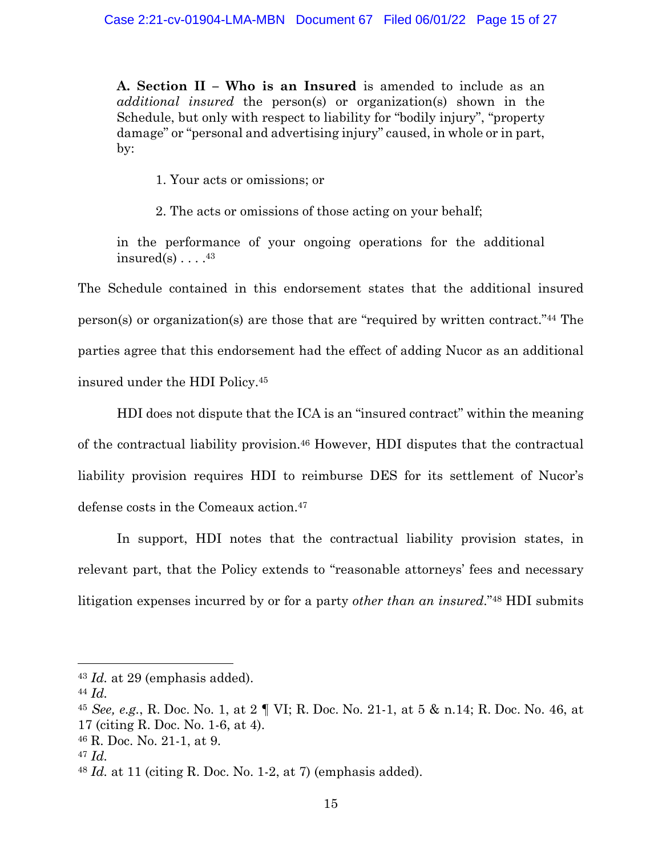**A. Section II – Who is an Insured** is amended to include as an *additional insured* the person(s) or organization(s) shown in the Schedule, but only with respect to liability for "bodily injury", "property damage" or "personal and advertising injury" caused, in whole or in part, by:

1. Your acts or omissions; or

2. The acts or omissions of those acting on your behalf;

in the performance of your ongoing operations for the additional insured(s)  $\ldots$ .<sup>43</sup>

The Schedule contained in this endorsement states that the additional insured person(s) or organization(s) are those that are "required by written contract."44 The parties agree that this endorsement had the effect of adding Nucor as an additional insured under the HDI Policy.45

HDI does not dispute that the ICA is an "insured contract" within the meaning of the contractual liability provision.46 However, HDI disputes that the contractual liability provision requires HDI to reimburse DES for its settlement of Nucor's defense costs in the Comeaux action.47

In support, HDI notes that the contractual liability provision states, in relevant part, that the Policy extends to "reasonable attorneys' fees and necessary litigation expenses incurred by or for a party *other than an insured*."48 HDI submits

<sup>43</sup> *Id.* at 29 (emphasis added).

<sup>44</sup> *Id.*

<sup>45</sup> *See, e.g.*, R. Doc. No. 1, at 2 ¶ VI; R. Doc. No. 21-1, at 5 & n.14; R. Doc. No. 46, at 17 (citing R. Doc. No. 1-6, at 4).

<sup>46</sup> R. Doc. No. 21-1, at 9.

<sup>47</sup> *Id.*

<sup>48</sup> *Id.* at 11 (citing R. Doc. No. 1-2, at 7) (emphasis added).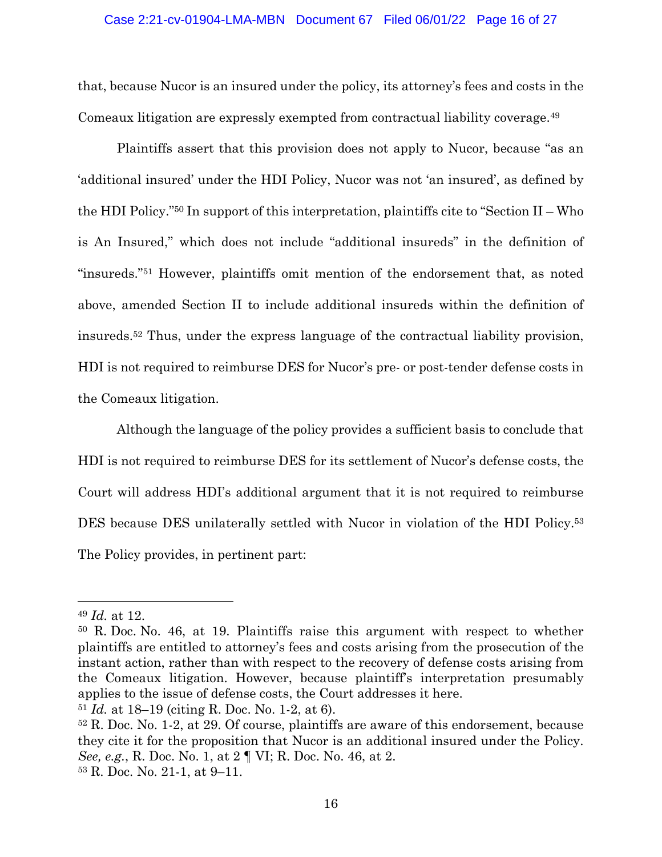#### Case 2:21-cv-01904-LMA-MBN Document 67 Filed 06/01/22 Page 16 of 27

that, because Nucor is an insured under the policy, its attorney's fees and costs in the Comeaux litigation are expressly exempted from contractual liability coverage.49

Plaintiffs assert that this provision does not apply to Nucor, because "as an 'additional insured' under the HDI Policy, Nucor was not 'an insured', as defined by the HDI Policy."50 In support of this interpretation, plaintiffs cite to "Section II – Who is An Insured," which does not include "additional insureds" in the definition of "insureds."51 However, plaintiffs omit mention of the endorsement that, as noted above, amended Section II to include additional insureds within the definition of insureds.52 Thus, under the express language of the contractual liability provision, HDI is not required to reimburse DES for Nucor's pre- or post-tender defense costs in the Comeaux litigation.

Although the language of the policy provides a sufficient basis to conclude that HDI is not required to reimburse DES for its settlement of Nucor's defense costs, the Court will address HDI's additional argument that it is not required to reimburse DES because DES unilaterally settled with Nucor in violation of the HDI Policy.53 The Policy provides, in pertinent part:

<sup>49</sup> *Id.* at 12.

<sup>50</sup> R. Doc. No. 46, at 19. Plaintiffs raise this argument with respect to whether plaintiffs are entitled to attorney's fees and costs arising from the prosecution of the instant action, rather than with respect to the recovery of defense costs arising from the Comeaux litigation. However, because plaintiff's interpretation presumably applies to the issue of defense costs, the Court addresses it here.

<sup>51</sup> *Id.* at 18–19 (citing R. Doc. No. 1-2, at 6).

<sup>52</sup> R. Doc. No. 1-2, at 29. Of course, plaintiffs are aware of this endorsement, because they cite it for the proposition that Nucor is an additional insured under the Policy. *See, e.g.*, R. Doc. No. 1, at 2 ¶ VI; R. Doc. No. 46, at 2. <sup>53</sup> R. Doc. No. 21-1, at 9–11.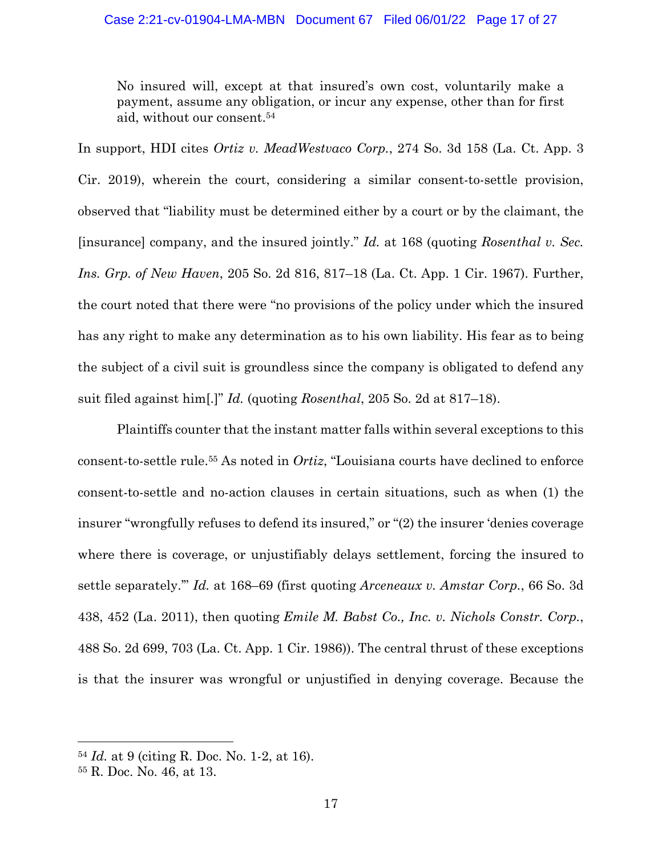No insured will, except at that insured's own cost, voluntarily make a payment, assume any obligation, or incur any expense, other than for first aid, without our consent.54

In support, HDI cites *Ortiz v. MeadWestvaco Corp.*, 274 So. 3d 158 (La. Ct. App. 3 Cir. 2019), wherein the court, considering a similar consent-to-settle provision, observed that "liability must be determined either by a court or by the claimant, the [insurance] company, and the insured jointly." *Id.* at 168 (quoting *Rosenthal v. Sec. Ins. Grp. of New Haven*, 205 So. 2d 816, 817–18 (La. Ct. App. 1 Cir. 1967). Further, the court noted that there were "no provisions of the policy under which the insured has any right to make any determination as to his own liability. His fear as to being the subject of a civil suit is groundless since the company is obligated to defend any suit filed against him[.]" *Id.* (quoting *Rosenthal*, 205 So. 2d at 817–18).

Plaintiffs counter that the instant matter falls within several exceptions to this consent-to-settle rule.55 As noted in *Ortiz*, "Louisiana courts have declined to enforce consent-to-settle and no-action clauses in certain situations, such as when (1) the insurer "wrongfully refuses to defend its insured," or "(2) the insurer 'denies coverage where there is coverage, or unjustifiably delays settlement, forcing the insured to settle separately.'" *Id.* at 168–69 (first quoting *Arceneaux v. Amstar Corp.*, 66 So. 3d 438, 452 (La. 2011), then quoting *Emile M. Babst Co., Inc. v. Nichols Constr. Corp.*, 488 So. 2d 699, 703 (La. Ct. App. 1 Cir. 1986)). The central thrust of these exceptions is that the insurer was wrongful or unjustified in denying coverage. Because the

<sup>54</sup> *Id.* at 9 (citing R. Doc. No. 1-2, at 16).

<sup>55</sup> R. Doc. No. 46, at 13.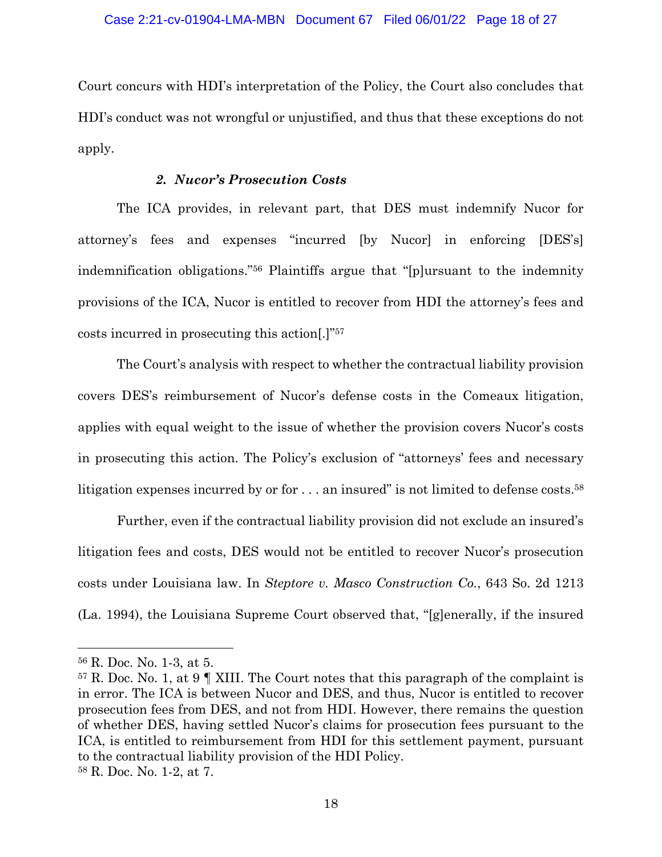Court concurs with HDI's interpretation of the Policy, the Court also concludes that HDI's conduct was not wrongful or unjustified, and thus that these exceptions do not apply.

## *2. Nucor's Prosecution Costs*

The ICA provides, in relevant part, that DES must indemnify Nucor for attorney's fees and expenses "incurred [by Nucor] in enforcing [DES's] indemnification obligations."56 Plaintiffs argue that "[p]ursuant to the indemnity provisions of the ICA, Nucor is entitled to recover from HDI the attorney's fees and costs incurred in prosecuting this action[.]"57

The Court's analysis with respect to whether the contractual liability provision covers DES's reimbursement of Nucor's defense costs in the Comeaux litigation, applies with equal weight to the issue of whether the provision covers Nucor's costs in prosecuting this action. The Policy's exclusion of "attorneys' fees and necessary litigation expenses incurred by or for ... an insured" is not limited to defense costs.<sup>58</sup>

Further, even if the contractual liability provision did not exclude an insured's litigation fees and costs, DES would not be entitled to recover Nucor's prosecution costs under Louisiana law. In *Steptore v. Masco Construction Co.*, 643 So. 2d 1213 (La. 1994), the Louisiana Supreme Court observed that, "[g]enerally, if the insured

<sup>56</sup> R. Doc. No. 1-3, at 5.

 $57$  R. Doc. No. 1, at 9 | XIII. The Court notes that this paragraph of the complaint is in error. The ICA is between Nucor and DES, and thus, Nucor is entitled to recover prosecution fees from DES, and not from HDI. However, there remains the question of whether DES, having settled Nucor's claims for prosecution fees pursuant to the ICA, is entitled to reimbursement from HDI for this settlement payment, pursuant to the contractual liability provision of the HDI Policy. <sup>58</sup> R. Doc. No. 1-2, at 7.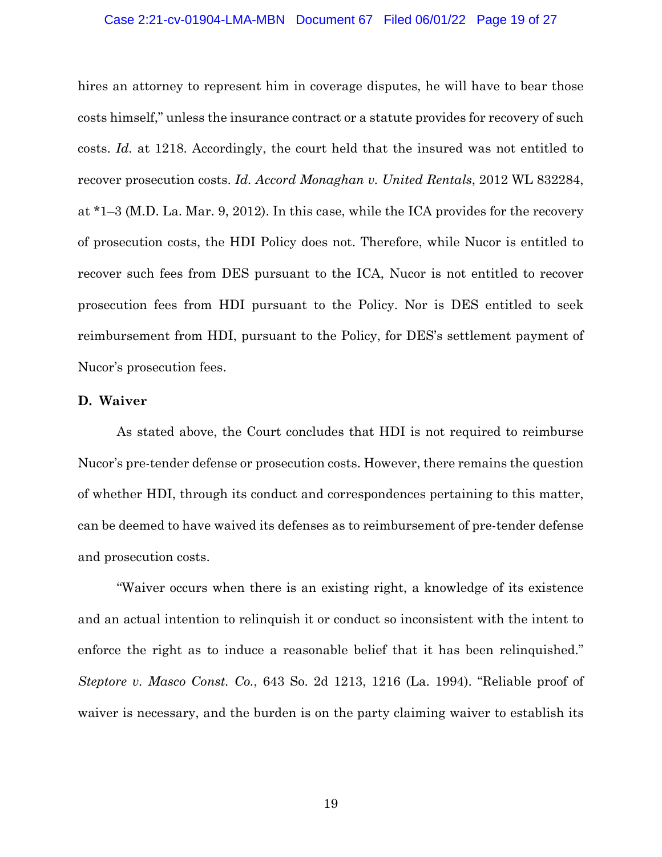#### Case 2:21-cv-01904-LMA-MBN Document 67 Filed 06/01/22 Page 19 of 27

hires an attorney to represent him in coverage disputes, he will have to bear those costs himself," unless the insurance contract or a statute provides for recovery of such costs. *Id.* at 1218. Accordingly, the court held that the insured was not entitled to recover prosecution costs. *Id. Accord Monaghan v. United Rentals*, 2012 WL 832284, at \*1–3 (M.D. La. Mar. 9, 2012). In this case, while the ICA provides for the recovery of prosecution costs, the HDI Policy does not. Therefore, while Nucor is entitled to recover such fees from DES pursuant to the ICA, Nucor is not entitled to recover prosecution fees from HDI pursuant to the Policy. Nor is DES entitled to seek reimbursement from HDI, pursuant to the Policy, for DES's settlement payment of Nucor's prosecution fees.

# **D. Waiver**

As stated above, the Court concludes that HDI is not required to reimburse Nucor's pre-tender defense or prosecution costs. However, there remains the question of whether HDI, through its conduct and correspondences pertaining to this matter, can be deemed to have waived its defenses as to reimbursement of pre-tender defense and prosecution costs.

"Waiver occurs when there is an existing right, a knowledge of its existence and an actual intention to relinquish it or conduct so inconsistent with the intent to enforce the right as to induce a reasonable belief that it has been relinquished." *Steptore v. Masco Const. Co.*, 643 So. 2d 1213, 1216 (La. 1994). "Reliable proof of waiver is necessary, and the burden is on the party claiming waiver to establish its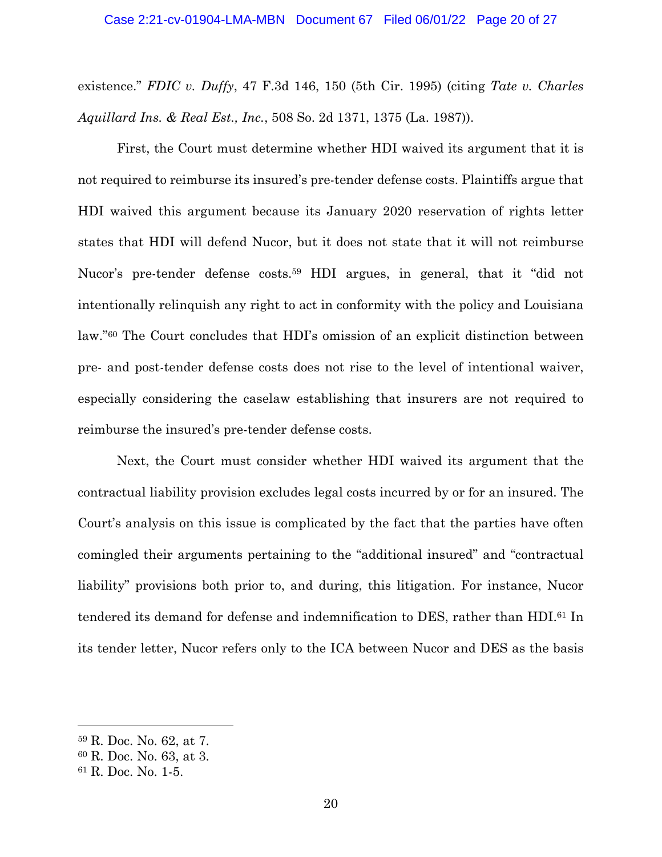existence." *FDIC v. Duffy*, 47 F.3d 146, 150 (5th Cir. 1995) (citing *Tate v. Charles Aquillard Ins. & Real Est., Inc.*, 508 So. 2d 1371, 1375 (La. 1987)).

First, the Court must determine whether HDI waived its argument that it is not required to reimburse its insured's pre-tender defense costs. Plaintiffs argue that HDI waived this argument because its January 2020 reservation of rights letter states that HDI will defend Nucor, but it does not state that it will not reimburse Nucor's pre-tender defense costs.<sup>59</sup> HDI argues, in general, that it "did not intentionally relinquish any right to act in conformity with the policy and Louisiana law."60 The Court concludes that HDI's omission of an explicit distinction between pre- and post-tender defense costs does not rise to the level of intentional waiver, especially considering the caselaw establishing that insurers are not required to reimburse the insured's pre-tender defense costs.

Next, the Court must consider whether HDI waived its argument that the contractual liability provision excludes legal costs incurred by or for an insured. The Court's analysis on this issue is complicated by the fact that the parties have often comingled their arguments pertaining to the "additional insured" and "contractual liability" provisions both prior to, and during, this litigation. For instance, Nucor tendered its demand for defense and indemnification to DES, rather than HDI.61 In its tender letter, Nucor refers only to the ICA between Nucor and DES as the basis

<sup>59</sup> R. Doc. No. 62, at 7.

<sup>60</sup> R. Doc. No. 63, at 3.

<sup>61</sup> R. Doc. No. 1-5.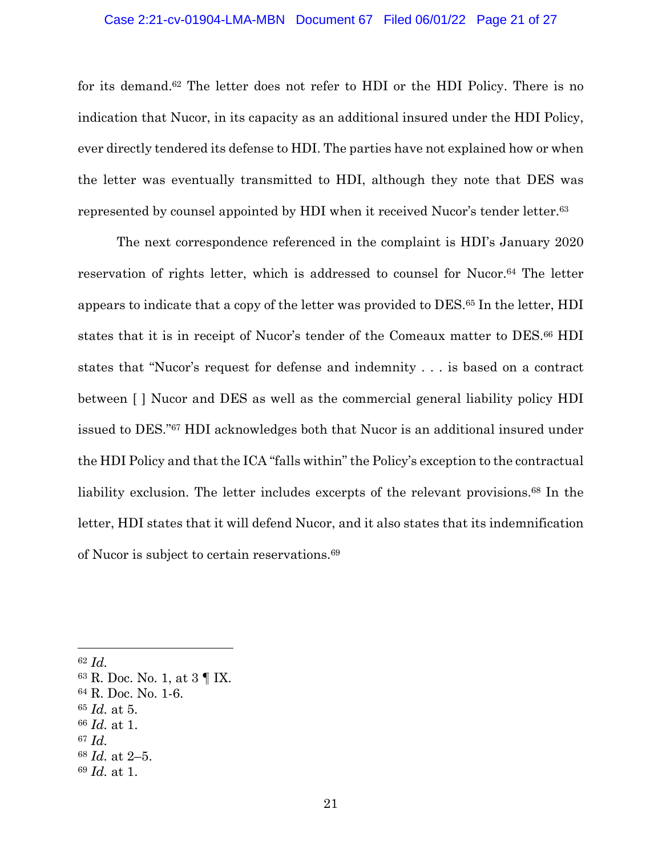#### Case 2:21-cv-01904-LMA-MBN Document 67 Filed 06/01/22 Page 21 of 27

for its demand.62 The letter does not refer to HDI or the HDI Policy. There is no indication that Nucor, in its capacity as an additional insured under the HDI Policy, ever directly tendered its defense to HDI. The parties have not explained how or when the letter was eventually transmitted to HDI, although they note that DES was represented by counsel appointed by HDI when it received Nucor's tender letter.63

The next correspondence referenced in the complaint is HDI's January 2020 reservation of rights letter, which is addressed to counsel for Nucor.64 The letter appears to indicate that a copy of the letter was provided to DES.65 In the letter, HDI states that it is in receipt of Nucor's tender of the Comeaux matter to DES.<sup>66</sup> HDI states that "Nucor's request for defense and indemnity . . . is based on a contract between [ ] Nucor and DES as well as the commercial general liability policy HDI issued to DES."67 HDI acknowledges both that Nucor is an additional insured under the HDI Policy and that the ICA "falls within" the Policy's exception to the contractual liability exclusion. The letter includes excerpts of the relevant provisions.<sup>68</sup> In the letter, HDI states that it will defend Nucor, and it also states that its indemnification of Nucor is subject to certain reservations.69

<sup>62</sup> *Id.*

<sup>63</sup> R. Doc. No. 1, at 3 ¶ IX.

<sup>64</sup> R. Doc. No. 1-6.

<sup>65</sup> *Id.* at 5.

<sup>66</sup> *Id.* at 1.

<sup>67</sup> *Id.*

<sup>68</sup> *Id.* at 2–5.

<sup>69</sup> *Id.* at 1.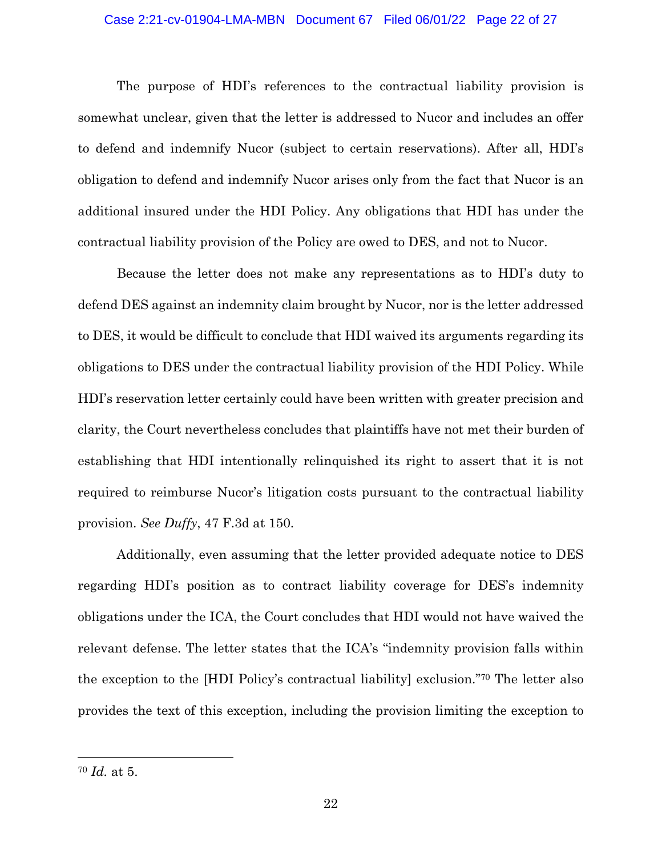#### Case 2:21-cv-01904-LMA-MBN Document 67 Filed 06/01/22 Page 22 of 27

The purpose of HDI's references to the contractual liability provision is somewhat unclear, given that the letter is addressed to Nucor and includes an offer to defend and indemnify Nucor (subject to certain reservations). After all, HDI's obligation to defend and indemnify Nucor arises only from the fact that Nucor is an additional insured under the HDI Policy. Any obligations that HDI has under the contractual liability provision of the Policy are owed to DES, and not to Nucor.

Because the letter does not make any representations as to HDI's duty to defend DES against an indemnity claim brought by Nucor, nor is the letter addressed to DES, it would be difficult to conclude that HDI waived its arguments regarding its obligations to DES under the contractual liability provision of the HDI Policy. While HDI's reservation letter certainly could have been written with greater precision and clarity, the Court nevertheless concludes that plaintiffs have not met their burden of establishing that HDI intentionally relinquished its right to assert that it is not required to reimburse Nucor's litigation costs pursuant to the contractual liability provision. *See Duffy*, 47 F.3d at 150.

Additionally, even assuming that the letter provided adequate notice to DES regarding HDI's position as to contract liability coverage for DES's indemnity obligations under the ICA, the Court concludes that HDI would not have waived the relevant defense. The letter states that the ICA's "indemnity provision falls within the exception to the [HDI Policy's contractual liability] exclusion."70 The letter also provides the text of this exception, including the provision limiting the exception to

<sup>70</sup> *Id.* at 5.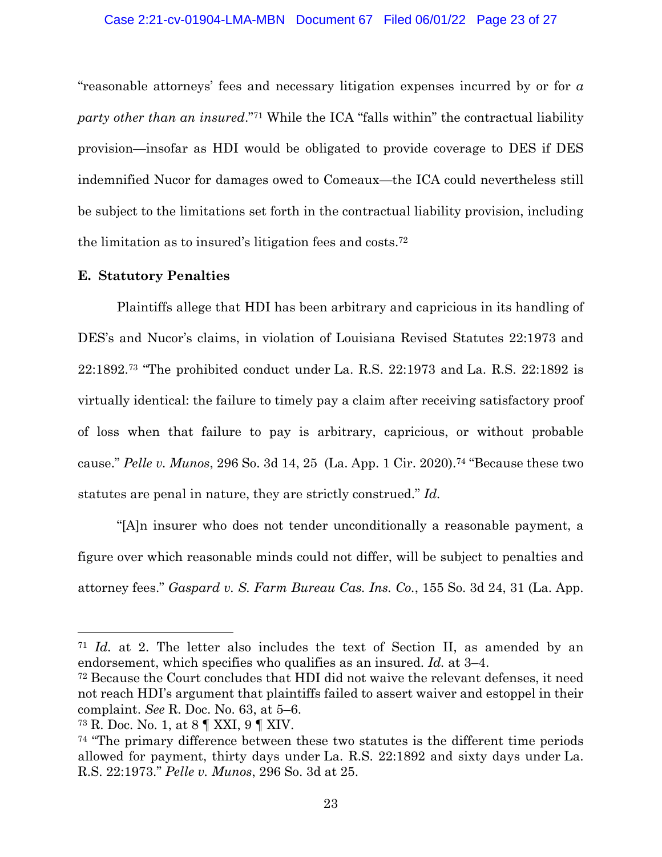"reasonable attorneys' fees and necessary litigation expenses incurred by or for *a party other than an insured*."71 While the ICA "falls within" the contractual liability provision—insofar as HDI would be obligated to provide coverage to DES if DES indemnified Nucor for damages owed to Comeaux—the ICA could nevertheless still be subject to the limitations set forth in the contractual liability provision, including the limitation as to insured's litigation fees and costs.72

## **E. Statutory Penalties**

Plaintiffs allege that HDI has been arbitrary and capricious in its handling of DES's and Nucor's claims, in violation of Louisiana Revised Statutes 22:1973 and 22:1892.73 "The prohibited conduct under La. R.S. 22:1973 and La. R.S. 22:1892 is virtually identical: the failure to timely pay a claim after receiving satisfactory proof of loss when that failure to pay is arbitrary, capricious, or without probable cause." *Pelle v. Munos*, 296 So. 3d 14, 25 (La. App. 1 Cir. 2020).74 "Because these two statutes are penal in nature, they are strictly construed." *Id.*

"[A]n insurer who does not tender unconditionally a reasonable payment, a figure over which reasonable minds could not differ, will be subject to penalties and attorney fees." *Gaspard v. S. Farm Bureau Cas. Ins. Co.*, 155 So. 3d 24, 31 (La. App.

<sup>71</sup> *Id.* at 2. The letter also includes the text of Section II, as amended by an endorsement, which specifies who qualifies as an insured. *Id.* at 3–4.

<sup>72</sup> Because the Court concludes that HDI did not waive the relevant defenses, it need not reach HDI's argument that plaintiffs failed to assert waiver and estoppel in their complaint. *See* R. Doc. No. 63, at 5–6.

<sup>73</sup> R. Doc. No. 1, at 8 ¶ XXI, 9 ¶ XIV.

<sup>74</sup> "The primary difference between these two statutes is the different time periods allowed for payment, thirty days under La. R.S. 22:1892 and sixty days under La. R.S. 22:1973." *Pelle v. Munos*, 296 So. 3d at 25.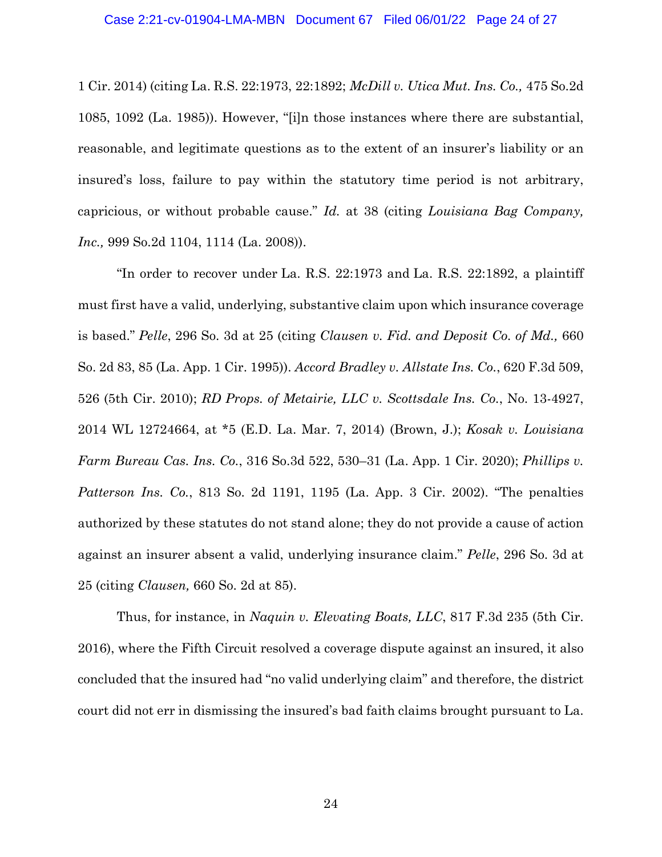1 Cir. 2014) (citing La. R.S. 22:1973, 22:1892; *McDill v. Utica Mut. Ins. Co.,* 475 So.2d 1085, 1092 (La. 1985)). However, "[i]n those instances where there are substantial, reasonable, and legitimate questions as to the extent of an insurer's liability or an insured's loss, failure to pay within the statutory time period is not arbitrary, capricious, or without probable cause." *Id.* at 38 (citing *Louisiana Bag Company, Inc.,* 999 So.2d 1104, 1114 (La. 2008)).

"In order to recover under La. R.S. 22:1973 and La. R.S. 22:1892, a plaintiff must first have a valid, underlying, substantive claim upon which insurance coverage is based." *Pelle*, 296 So. 3d at 25 (citing *Clausen v. Fid. and Deposit Co. of Md.,* 660 So. 2d 83, 85 (La. App. 1 Cir. 1995)). *Accord Bradley v. Allstate Ins. Co.*, 620 F.3d 509, 526 (5th Cir. 2010); *RD Props. of Metairie, LLC v. Scottsdale Ins. Co.*, No. 13-4927, 2014 WL 12724664, at \*5 (E.D. La. Mar. 7, 2014) (Brown, J.); *Kosak v. Louisiana Farm Bureau Cas. Ins. Co.*, 316 So.3d 522, 530–31 (La. App. 1 Cir. 2020); *Phillips v. Patterson Ins. Co.*, 813 So. 2d 1191, 1195 (La. App. 3 Cir. 2002). "The penalties authorized by these statutes do not stand alone; they do not provide a cause of action against an insurer absent a valid, underlying insurance claim." *Pelle*, 296 So. 3d at 25 (citing *Clausen,* 660 So. 2d at 85).

Thus, for instance, in *Naquin v. Elevating Boats, LLC*, 817 F.3d 235 (5th Cir. 2016), where the Fifth Circuit resolved a coverage dispute against an insured, it also concluded that the insured had "no valid underlying claim" and therefore, the district court did not err in dismissing the insured's bad faith claims brought pursuant to La.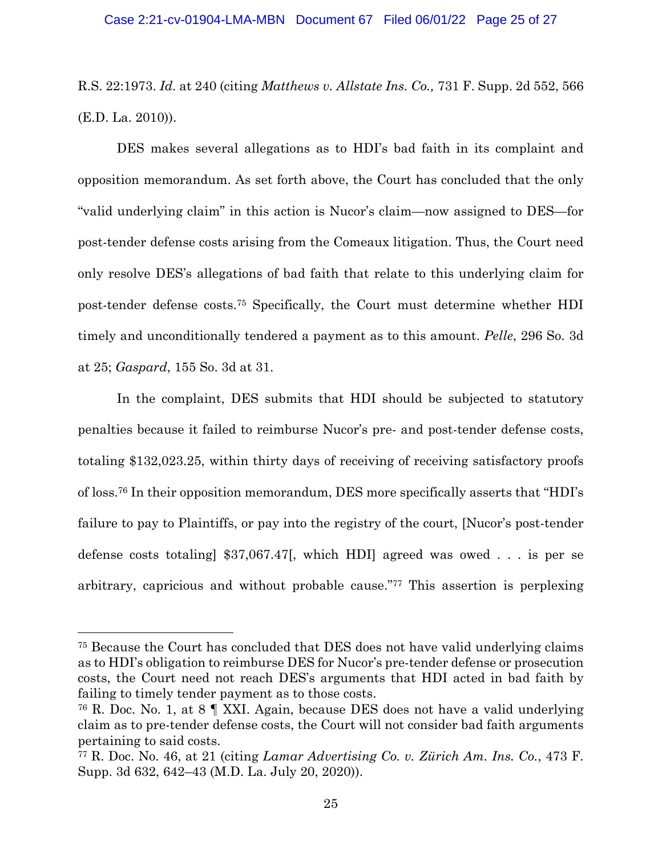R.S. 22:1973. *Id.* at 240 (citing *Matthews v. Allstate Ins. Co.,* 731 F. Supp. 2d 552, 566 (E.D. La. 2010)).

DES makes several allegations as to HDI's bad faith in its complaint and opposition memorandum. As set forth above, the Court has concluded that the only "valid underlying claim" in this action is Nucor's claim—now assigned to DES—for post-tender defense costs arising from the Comeaux litigation. Thus, the Court need only resolve DES's allegations of bad faith that relate to this underlying claim for post-tender defense costs.75 Specifically, the Court must determine whether HDI timely and unconditionally tendered a payment as to this amount. *Pelle*, 296 So. 3d at 25; *Gaspard*, 155 So. 3d at 31.

In the complaint, DES submits that HDI should be subjected to statutory penalties because it failed to reimburse Nucor's pre- and post-tender defense costs, totaling \$132,023.25, within thirty days of receiving of receiving satisfactory proofs of loss.76 In their opposition memorandum, DES more specifically asserts that "HDI's failure to pay to Plaintiffs, or pay into the registry of the court, [Nucor's post-tender defense costs totaling] \$37,067.47[, which HDI] agreed was owed . . . is per se arbitrary, capricious and without probable cause."77 This assertion is perplexing

<sup>75</sup> Because the Court has concluded that DES does not have valid underlying claims as to HDI's obligation to reimburse DES for Nucor's pre-tender defense or prosecution costs, the Court need not reach DES's arguments that HDI acted in bad faith by failing to timely tender payment as to those costs.

<sup>76</sup> R. Doc. No. 1, at 8 ¶ XXI. Again, because DES does not have a valid underlying claim as to pre-tender defense costs, the Court will not consider bad faith arguments pertaining to said costs.

<sup>77</sup> R. Doc. No. 46, at 21 (citing *Lamar Advertising Co. v. Zürich Am. Ins. Co.*, 473 F. Supp. 3d 632, 642–43 (M.D. La. July 20, 2020)).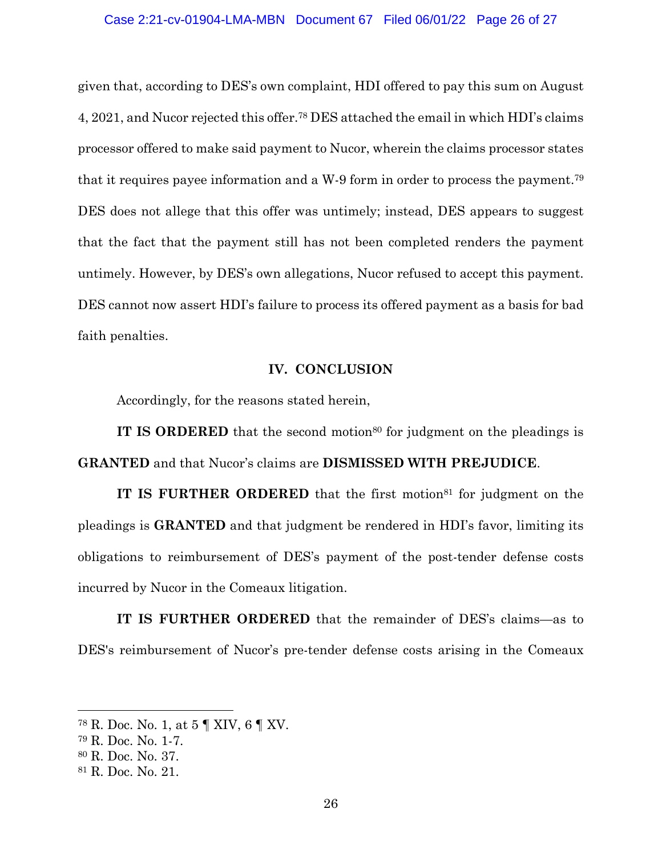given that, according to DES's own complaint, HDI offered to pay this sum on August 4, 2021, and Nucor rejected this offer.78 DES attached the email in which HDI's claims processor offered to make said payment to Nucor, wherein the claims processor states that it requires payee information and a W-9 form in order to process the payment.79 DES does not allege that this offer was untimely; instead, DES appears to suggest that the fact that the payment still has not been completed renders the payment untimely. However, by DES's own allegations, Nucor refused to accept this payment. DES cannot now assert HDI's failure to process its offered payment as a basis for bad faith penalties.

## **IV. CONCLUSION**

Accordingly, for the reasons stated herein,

**IT IS ORDERED** that the second motion<sup>80</sup> for judgment on the pleadings is **GRANTED** and that Nucor's claims are **DISMISSED WITH PREJUDICE**.

**IT IS FURTHER ORDERED** that the first motion<sup>81</sup> for judgment on the pleadings is **GRANTED** and that judgment be rendered in HDI's favor, limiting its obligations to reimbursement of DES's payment of the post-tender defense costs incurred by Nucor in the Comeaux litigation.

**IT IS FURTHER ORDERED** that the remainder of DES's claims—as to DES's reimbursement of Nucor's pre-tender defense costs arising in the Comeaux

<sup>78</sup> R. Doc. No. 1, at 5 ¶ XIV, 6 ¶ XV.

<sup>79</sup> R. Doc. No. 1-7.

<sup>80</sup> R. Doc. No. 37.

<sup>81</sup> R. Doc. No. 21.